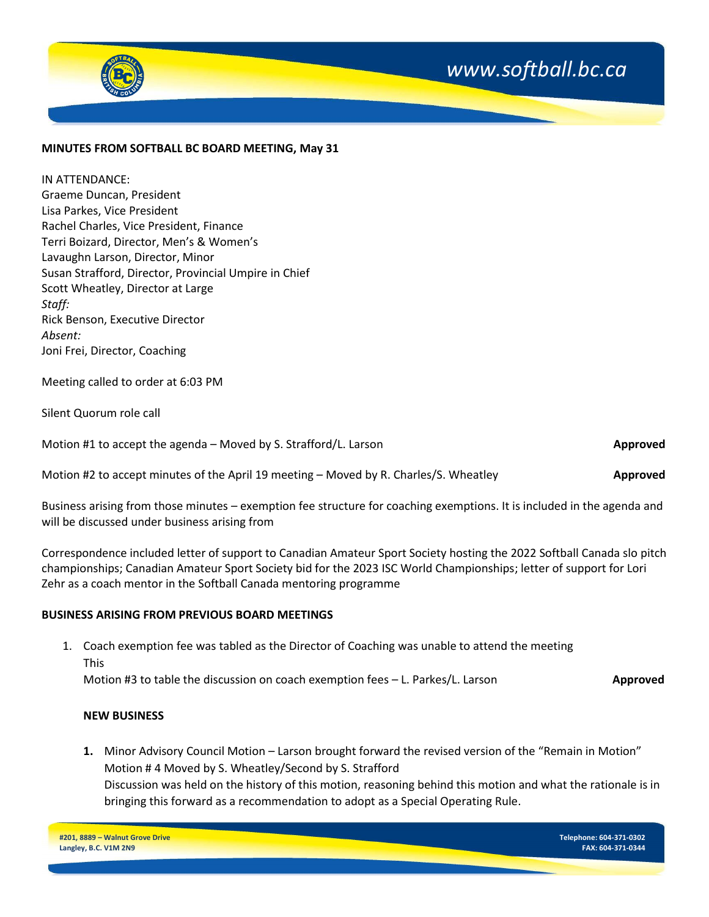

Scott Wheatley, Director at Large *Staff:* Rick Benson, Executive Director *Absent:* Joni Frei, Director, Coaching

Meeting called to order at 6:03 PM

Silent Quorum role call

Motion #1 to accept the agenda – Moved by S. Strafford/L. Larson **Approved Approved Approved** 

Motion #2 to accept minutes of the April 19 meeting – Moved by R. Charles/S. Wheatley **Approved Approved** 

Business arising from those minutes – exemption fee structure for coaching exemptions. It is included in the agenda and will be discussed under business arising from

Correspondence included letter of support to Canadian Amateur Sport Society hosting the 2022 Softball Canada slo pitch championships; Canadian Amateur Sport Society bid for the 2023 ISC World Championships; letter of support for Lori Zehr as a coach mentor in the Softball Canada mentoring programme

#### **BUSINESS ARISING FROM PREVIOUS BOARD MEETINGS**

1. Coach exemption fee was tabled as the Director of Coaching was unable to attend the meeting This Motion #3 to table the discussion on coach exemption fees – L. Parkes/L. Larson **Approved**

#### **NEW BUSINESS**

**1.** Minor Advisory Council Motion – Larson brought forward the revised version of the "Remain in Motion" Motion # 4 Moved by S. Wheatley/Second by S. Strafford Discussion was held on the history of this motion, reasoning behind this motion and what the rationale is in bringing this forward as a recommendation to adopt as a Special Operating Rule.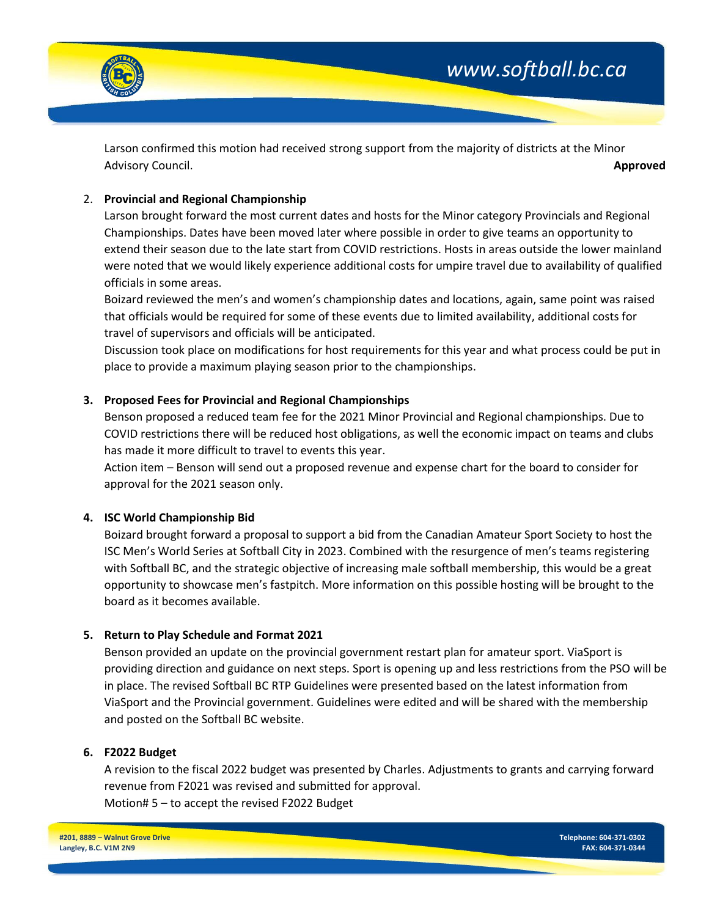

*www.softball.bc.ca*

Larson confirmed this motion had received strong support from the majority of districts at the Minor Advisory Council. **Approved** 

# 2. **Provincial and Regional Championship**

Larson brought forward the most current dates and hosts for the Minor category Provincials and Regional Championships. Dates have been moved later where possible in order to give teams an opportunity to extend their season due to the late start from COVID restrictions. Hosts in areas outside the lower mainland were noted that we would likely experience additional costs for umpire travel due to availability of qualified officials in some areas.

Boizard reviewed the men's and women's championship dates and locations, again, same point was raised that officials would be required for some of these events due to limited availability, additional costs for travel of supervisors and officials will be anticipated.

Discussion took place on modifications for host requirements for this year and what process could be put in place to provide a maximum playing season prior to the championships.

# **3. Proposed Fees for Provincial and Regional Championships**

Benson proposed a reduced team fee for the 2021 Minor Provincial and Regional championships. Due to COVID restrictions there will be reduced host obligations, as well the economic impact on teams and clubs has made it more difficult to travel to events this year.

Action item – Benson will send out a proposed revenue and expense chart for the board to consider for approval for the 2021 season only.

# **4. ISC World Championship Bid**

Boizard brought forward a proposal to support a bid from the Canadian Amateur Sport Society to host the ISC Men's World Series at Softball City in 2023. Combined with the resurgence of men's teams registering with Softball BC, and the strategic objective of increasing male softball membership, this would be a great opportunity to showcase men's fastpitch. More information on this possible hosting will be brought to the board as it becomes available.

# **5. Return to Play Schedule and Format 2021**

Benson provided an update on the provincial government restart plan for amateur sport. ViaSport is providing direction and guidance on next steps. Sport is opening up and less restrictions from the PSO will be in place. The revised Softball BC RTP Guidelines were presented based on the latest information from ViaSport and the Provincial government. Guidelines were edited and will be shared with the membership and posted on the Softball BC website.

# **6. F2022 Budget**

A revision to the fiscal 2022 budget was presented by Charles. Adjustments to grants and carrying forward revenue from F2021 was revised and submitted for approval. Motion# 5 – to accept the revised F2022 Budget